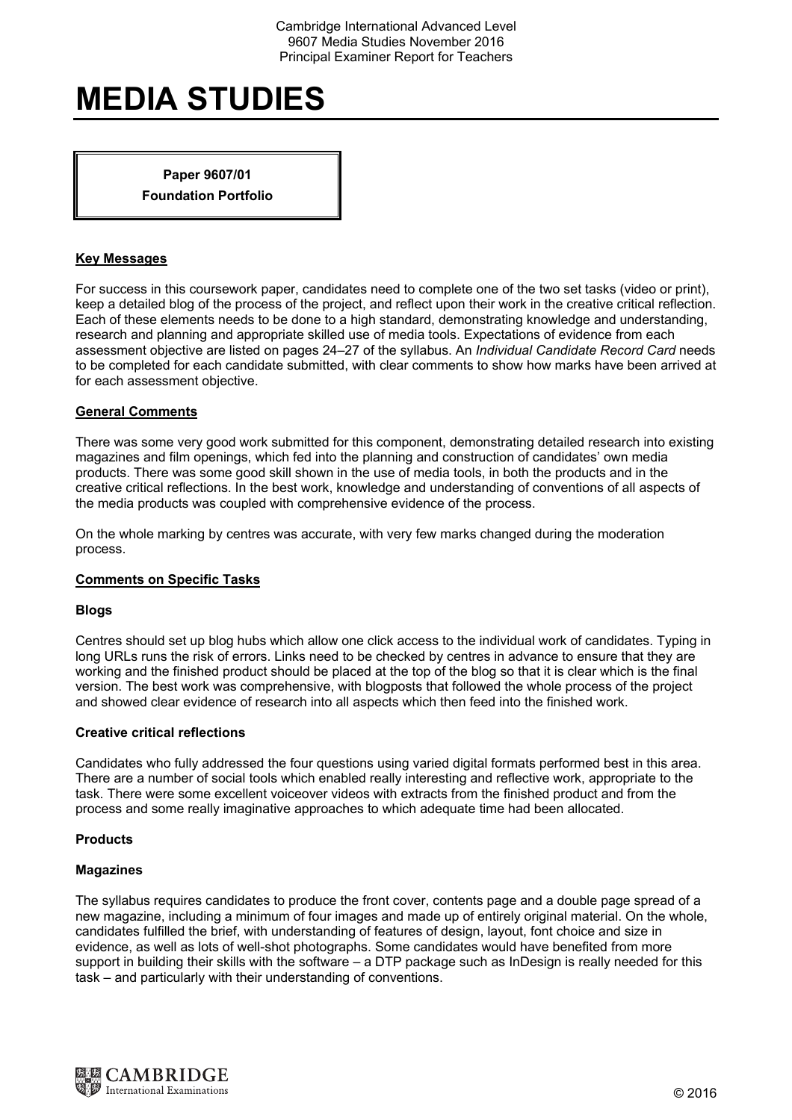# **MEDIA STUDIES**

**Paper 9607/01 Foundation Portfolio** 

# **Key Messages**

For success in this coursework paper, candidates need to complete one of the two set tasks (video or print), keep a detailed blog of the process of the project, and reflect upon their work in the creative critical reflection. Each of these elements needs to be done to a high standard, demonstrating knowledge and understanding, research and planning and appropriate skilled use of media tools. Expectations of evidence from each assessment objective are listed on pages 24–27 of the syllabus. An *Individual Candidate Record Card* needs to be completed for each candidate submitted, with clear comments to show how marks have been arrived at for each assessment objective.

# **General Comments**

There was some very good work submitted for this component, demonstrating detailed research into existing magazines and film openings, which fed into the planning and construction of candidates' own media products. There was some good skill shown in the use of media tools, in both the products and in the creative critical reflections. In the best work, knowledge and understanding of conventions of all aspects of the media products was coupled with comprehensive evidence of the process.

On the whole marking by centres was accurate, with very few marks changed during the moderation process.

# **Comments on Specific Tasks**

#### **Blogs**

Centres should set up blog hubs which allow one click access to the individual work of candidates. Typing in long URLs runs the risk of errors. Links need to be checked by centres in advance to ensure that they are working and the finished product should be placed at the top of the blog so that it is clear which is the final version. The best work was comprehensive, with blogposts that followed the whole process of the project and showed clear evidence of research into all aspects which then feed into the finished work.

#### **Creative critical reflections**

Candidates who fully addressed the four questions using varied digital formats performed best in this area. There are a number of social tools which enabled really interesting and reflective work, appropriate to the task. There were some excellent voiceover videos with extracts from the finished product and from the process and some really imaginative approaches to which adequate time had been allocated.

#### **Products**

#### **Magazines**

The syllabus requires candidates to produce the front cover, contents page and a double page spread of a new magazine, including a minimum of four images and made up of entirely original material. On the whole, candidates fulfilled the brief, with understanding of features of design, layout, font choice and size in evidence, as well as lots of well-shot photographs. Some candidates would have benefited from more support in building their skills with the software – a DTP package such as InDesign is really needed for this task – and particularly with their understanding of conventions.

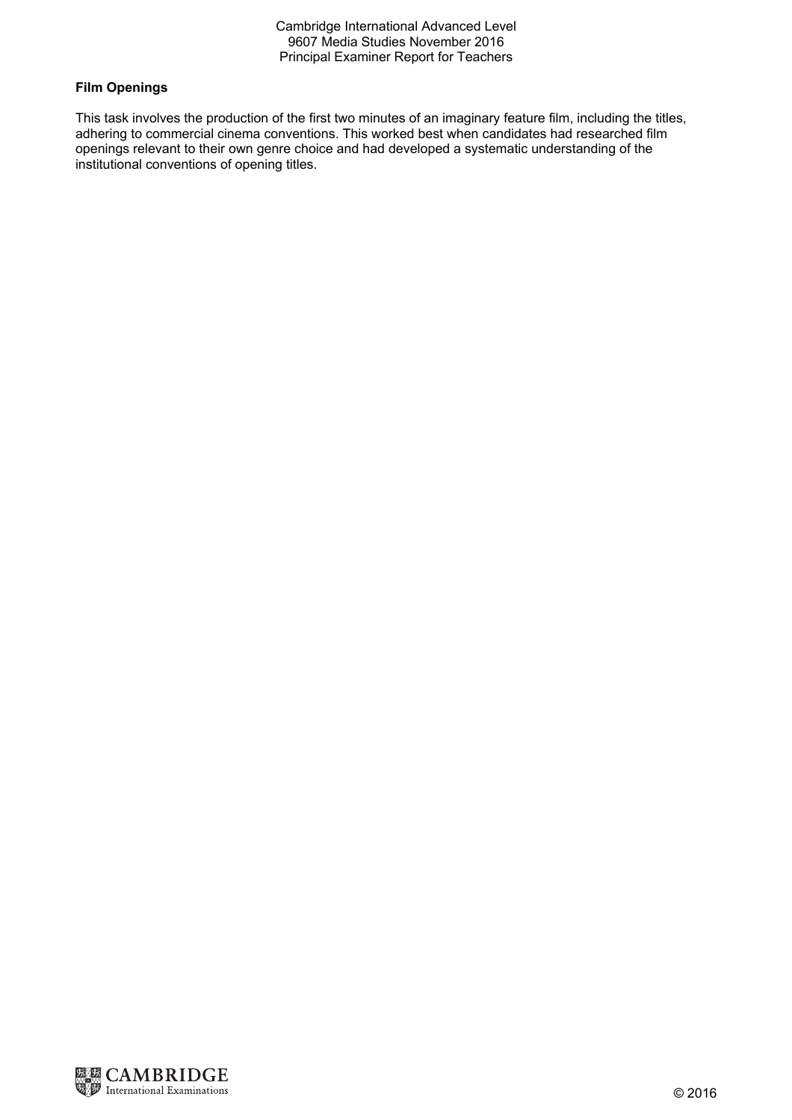Cambridge International Advanced Level 9607 Media Studies November 2016 Principal Examiner Report for Teachers

# **Film Openings**

This task involves the production of the first two minutes of an imaginary feature film, including the titles, adhering to commercial cinema conventions. This worked best when candidates had researched film openings relevant to their own genre choice and had developed a systematic understanding of the institutional conventions of opening titles.

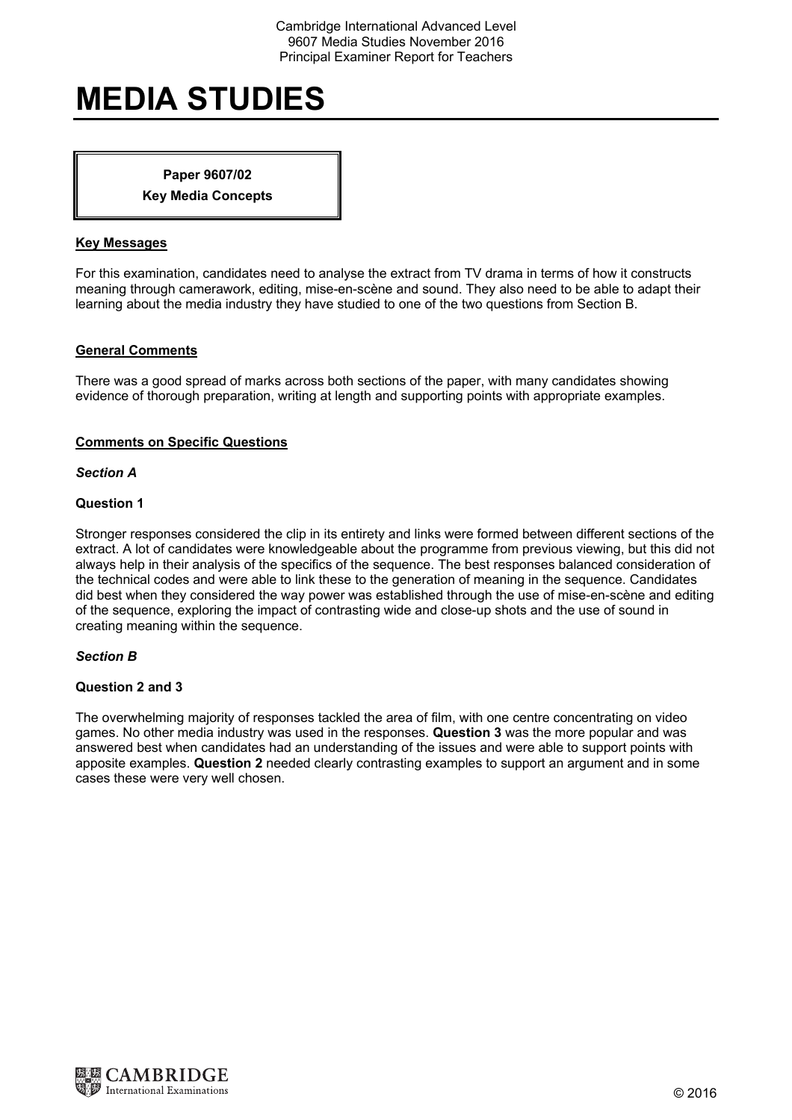# Cambridge International Advanced Level 9607 Media Studies November 2016 Principal Examiner Report for Teachers

# **MEDIA STUDIES**

# **Paper 9607/02 Key Media Concepts**

# **Key Messages**

For this examination, candidates need to analyse the extract from TV drama in terms of how it constructs meaning through camerawork, editing, mise-en-scène and sound. They also need to be able to adapt their learning about the media industry they have studied to one of the two questions from Section B.

# **General Comments**

There was a good spread of marks across both sections of the paper, with many candidates showing evidence of thorough preparation, writing at length and supporting points with appropriate examples.

# **Comments on Specific Questions**

#### *Section A*

# **Question 1**

Stronger responses considered the clip in its entirety and links were formed between different sections of the extract. A lot of candidates were knowledgeable about the programme from previous viewing, but this did not always help in their analysis of the specifics of the sequence. The best responses balanced consideration of the technical codes and were able to link these to the generation of meaning in the sequence. Candidates did best when they considered the way power was established through the use of mise-en-scène and editing of the sequence, exploring the impact of contrasting wide and close-up shots and the use of sound in creating meaning within the sequence.

#### *Section B*

#### **Question 2 and 3**

The overwhelming majority of responses tackled the area of film, with one centre concentrating on video games. No other media industry was used in the responses. **Question 3** was the more popular and was answered best when candidates had an understanding of the issues and were able to support points with apposite examples. **Question 2** needed clearly contrasting examples to support an argument and in some cases these were very well chosen.

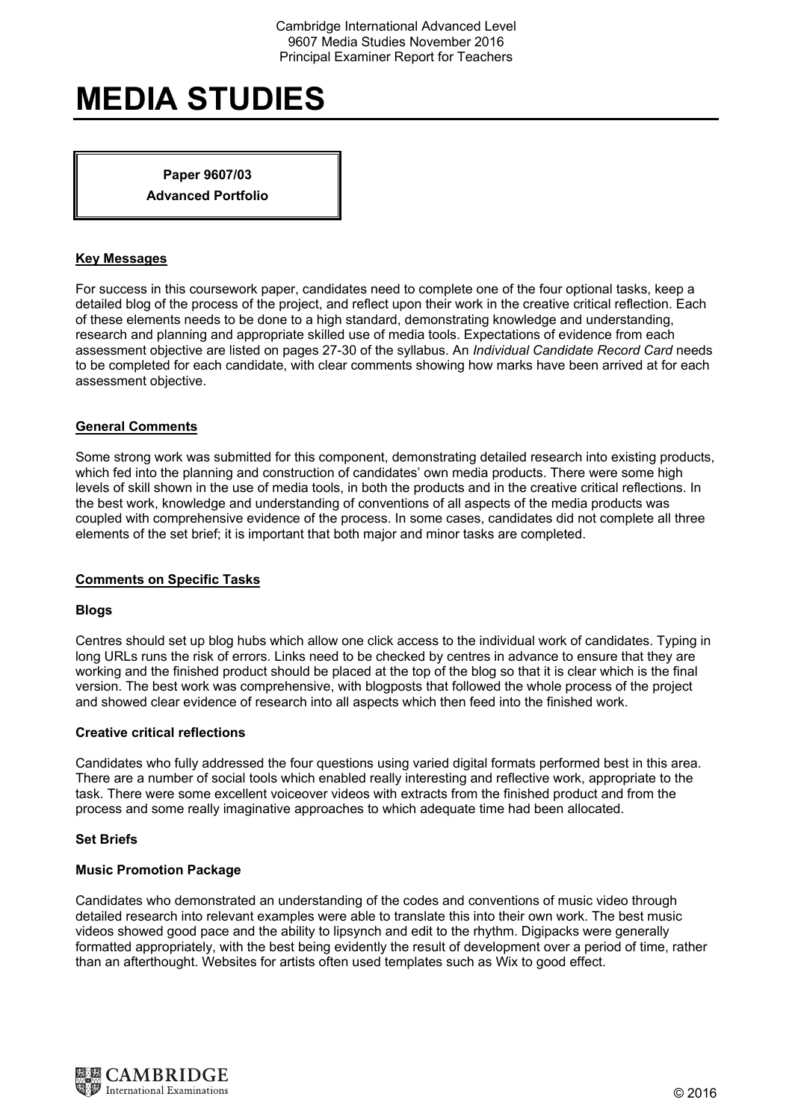# **MEDIA STUDIES**

**Paper 9607/03 Advanced Portfolio** 

# **Key Messages**

For success in this coursework paper, candidates need to complete one of the four optional tasks, keep a detailed blog of the process of the project, and reflect upon their work in the creative critical reflection. Each of these elements needs to be done to a high standard, demonstrating knowledge and understanding, research and planning and appropriate skilled use of media tools. Expectations of evidence from each assessment objective are listed on pages 27-30 of the syllabus. An *Individual Candidate Record Card* needs to be completed for each candidate, with clear comments showing how marks have been arrived at for each assessment objective.

# **General Comments**

Some strong work was submitted for this component, demonstrating detailed research into existing products, which fed into the planning and construction of candidates' own media products. There were some high levels of skill shown in the use of media tools, in both the products and in the creative critical reflections. In the best work, knowledge and understanding of conventions of all aspects of the media products was coupled with comprehensive evidence of the process. In some cases, candidates did not complete all three elements of the set brief; it is important that both major and minor tasks are completed.

# **Comments on Specific Tasks**

#### **Blogs**

Centres should set up blog hubs which allow one click access to the individual work of candidates. Typing in long URLs runs the risk of errors. Links need to be checked by centres in advance to ensure that they are working and the finished product should be placed at the top of the blog so that it is clear which is the final version. The best work was comprehensive, with blogposts that followed the whole process of the project and showed clear evidence of research into all aspects which then feed into the finished work.

#### **Creative critical reflections**

Candidates who fully addressed the four questions using varied digital formats performed best in this area. There are a number of social tools which enabled really interesting and reflective work, appropriate to the task. There were some excellent voiceover videos with extracts from the finished product and from the process and some really imaginative approaches to which adequate time had been allocated.

#### **Set Briefs**

#### **Music Promotion Package**

Candidates who demonstrated an understanding of the codes and conventions of music video through detailed research into relevant examples were able to translate this into their own work. The best music videos showed good pace and the ability to lipsynch and edit to the rhythm. Digipacks were generally formatted appropriately, with the best being evidently the result of development over a period of time, rather than an afterthought. Websites for artists often used templates such as Wix to good effect.

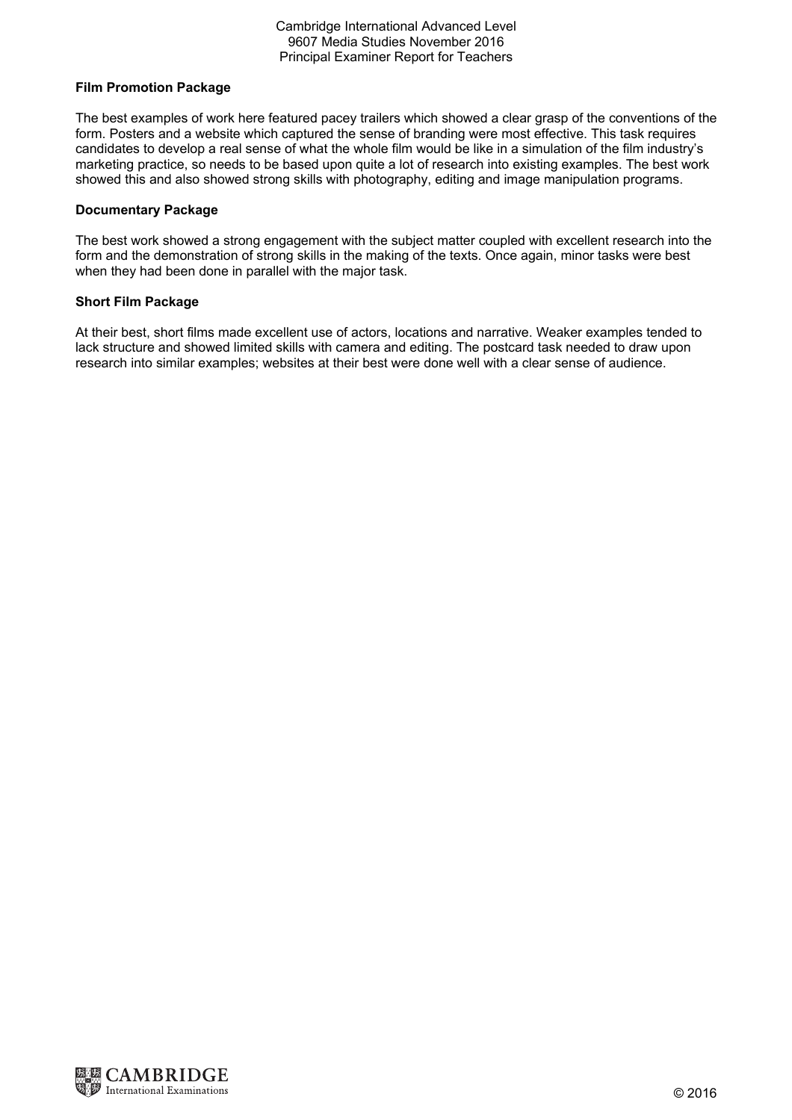# Cambridge International Advanced Level 9607 Media Studies November 2016 Principal Examiner Report for Teachers

# **Film Promotion Package**

The best examples of work here featured pacey trailers which showed a clear grasp of the conventions of the form. Posters and a website which captured the sense of branding were most effective. This task requires candidates to develop a real sense of what the whole film would be like in a simulation of the film industry's marketing practice, so needs to be based upon quite a lot of research into existing examples. The best work showed this and also showed strong skills with photography, editing and image manipulation programs.

#### **Documentary Package**

The best work showed a strong engagement with the subject matter coupled with excellent research into the form and the demonstration of strong skills in the making of the texts. Once again, minor tasks were best when they had been done in parallel with the major task.

# **Short Film Package**

At their best, short films made excellent use of actors, locations and narrative. Weaker examples tended to lack structure and showed limited skills with camera and editing. The postcard task needed to draw upon research into similar examples; websites at their best were done well with a clear sense of audience.